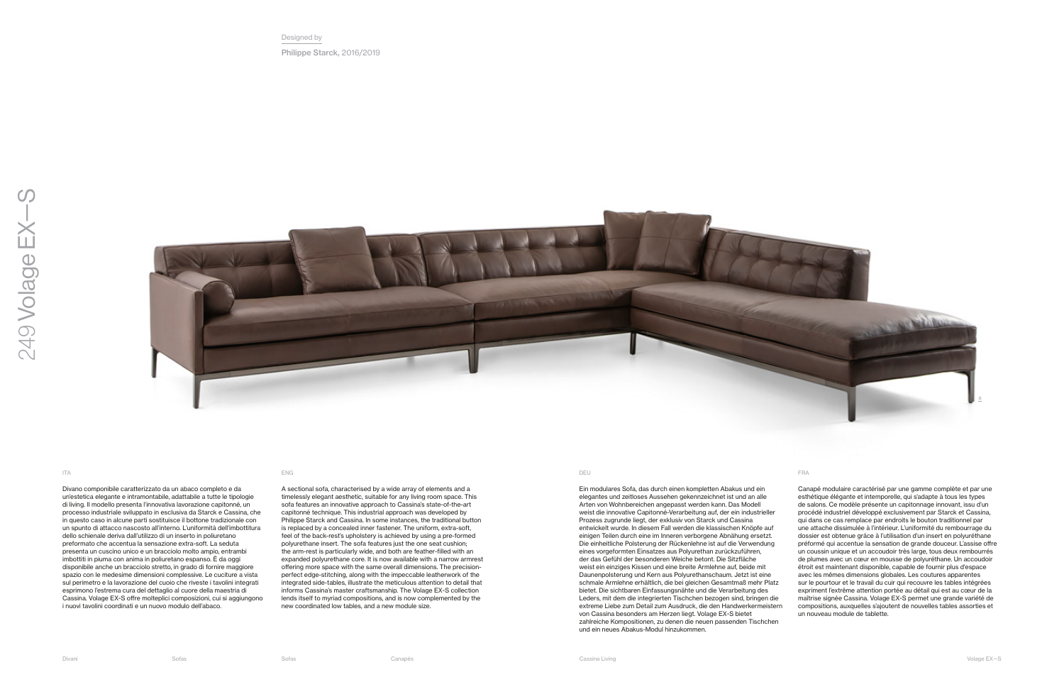Divano componibile caratterizzato da un abaco completo e da un'estetica elegante e intramontabile, adattabile a tutte le tipologie di living. Il modello presenta l'innovativa lavorazione capitonné, un processo industriale sviluppato in esclusiva da Starck e Cassina, che in questo caso in alcune parti sostituisce il bottone tradizionale con un spunto di attacco nascosto all'interno. L'uniformità dell'imbottitura dello schienale deriva dall'utilizzo di un inserto in poliuretano preformato che accentua la sensazione extra-soft. La seduta presenta un cuscino unico e un bracciolo molto ampio, entrambi imbottiti in piuma con anima in poliuretano espanso. È da oggi disponibile anche un bracciolo stretto, in grado di fornire maggiore spazio con le medesime dimensioni complessive. Le cuciture a vista sul perimetro e la lavorazione del cuoio che riveste i tavolini integrati esprimono l'estrema cura del dettaglio al cuore della maestria di Cassina. Volage EX-S offre molteplici composizioni, cui si aggiungono i nuovi tavolini coordinati e un nuovo modulo dell'abaco.

A sectional sofa, characterised by a wide array of elements and a timelessly elegant aesthetic, suitable for any living room space. This sofa features an innovative approach to Cassina's state-of-the-art capitonné technique. This industrial approach was developed by Philippe Starck and Cassina. In some instances, the traditional button is replaced by a concealed inner fastener. The uniform, extra-soft, feel of the back-rest's upholstery is achieved by using a pre-formed polyurethane insert. The sofa features just the one seat cushion; the arm-rest is particularly wide, and both are feather-filled with an expanded polyurethane core. It is now available with a narrow armrest offering more space with the same overall dimensions. The precisionperfect edge-stitching, along with the impeccable leatherwork of the integrated side-tables, illustrate the meticulous attention to detail that informs Cassina's master craftsmanship. The Volage EX-S collection lends itself to myriad compositions, and is now complemented by the new coordinated low tables, and a new module size.

Ein modulares Sofa, das durch einen kompletten Abakus und ein elegantes und zeitloses Aussehen gekennzeichnet ist und an alle Arten von Wohnbereichen angepasst werden kann. Das Modell weist die innovative Capitonné-Verarbeitung auf, der ein industrieller Prozess zugrunde liegt, der exklusiv von Starck und Cassina entwickelt wurde. In diesem Fall werden die klassischen Knöpfe auf einigen Teilen durch eine im Inneren verborgene Abnähung ersetzt. Die einheitliche Polsterung der Rückenlehne ist auf die Verwendung eines vorgeformten Einsatzes aus Polyurethan zurückzuführen, der das Gefühl der besonderen Weiche betont. Die Sitzfläche weist ein einziges Kissen und eine breite Armlehne auf, beide mit Daunenpolsterung und Kern aus Polyurethanschaum. Jetzt ist eine schmale Armlehne erhältlich, die bei gleichen Gesamtmaß mehr Platz bietet. Die sichtbaren Einfassungsnähte und die Verarbeitung des Leders, mit dem die integrierten Tischchen bezogen sind, bringen die extreme Liebe zum Detail zum Ausdruck, die den Handwerkermeistern von Cassina besonders am Herzen liegt. Volage EX-S bietet zahlreiche Kompositionen, zu denen die neuen passenden Tischchen und ein neues Abakus-Modul hinzukommen.

Canapé modulaire caractérisé par une gamme complète et par une esthétique élégante et intemporelle, qui s'adapte à tous les types de salons. Ce modèle présente un capitonnage innovant, issu d'un procédé industriel développé exclusivement par Starck et Cassina, qui dans ce cas remplace par endroits le bouton traditionnel par une attache dissimulée à l'intérieur. L'uniformité du rembourrage du dossier est obtenue grâce à l'utilisation d'un insert en polyuréthane préformé qui accentue la sensation de grande douceur. L'assise offre un coussin unique et un accoudoir très large, tous deux rembourrés de plumes avec un cœur en mousse de polyuréthane. Un accoudoir étroit est maintenant disponible, capable de fournir plus d'espace avec les mêmes dimensions globales. Les coutures apparentes sur le pourtour et le travail du cuir qui recouvre les tables intégrées expriment l'extrême attention portée au détail qui est au cœur de la maîtrise signée Cassina. Volage EX-S permet une grande variété de compositions, auxquelles s'ajoutent de nouvelles tables assorties et un nouveau module de tablette.

## ITA ENG DEU FRA

Designed by Philippe Starck, 2016/2019

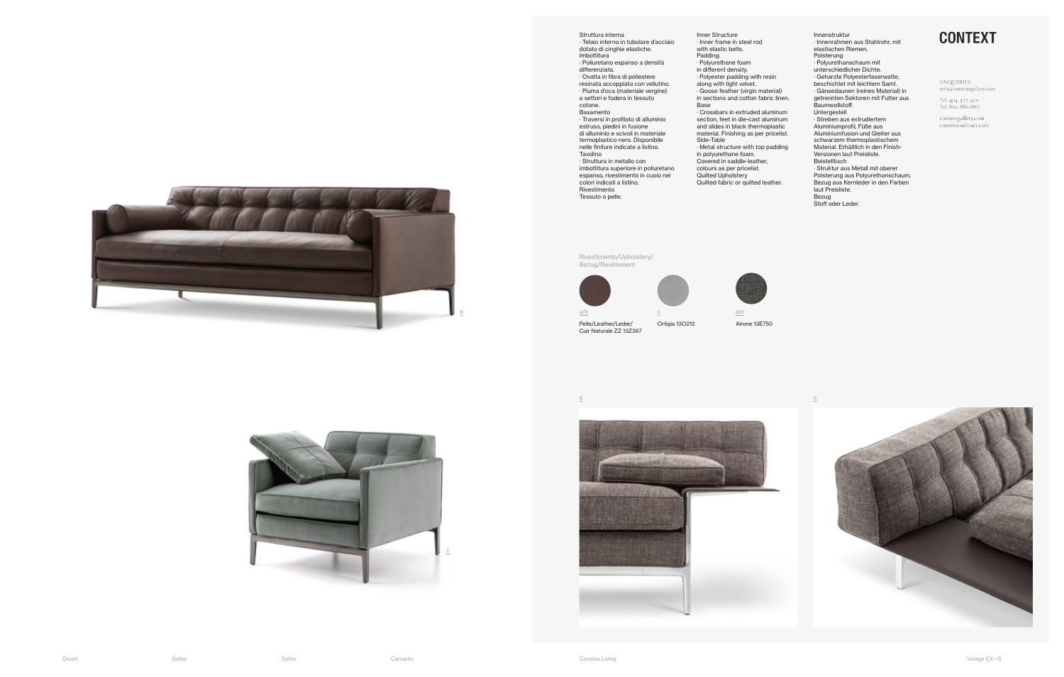Struttura interna · Telaio interno in tubolare d'acciaio dotato di cinghie elastiche. Imbottitura · Poliuretano espanso a densità differenziata. · Ovatta in fibra di poliestere resinata accoppiata con vellutino. · Piuma d'oca (materiale vergine) a settori e fodera in tessuto cotone. Basamento · Traversi in profilato di alluminio estruso, piedini in fusione di alluminio e scivoli in materiale termoplastico nero. Disponibile nelle finiture indicate a listino. Tavolino · Struttura in metallo con

imbottitura superiore in poliuretano espanso, rivestimento in cuoio nei colori indicati a listino. Rivestimento Tessuto o pelle.

Innenstruktur · Innenrahmen aus Stahlrohr, mit elastischen Riemen. Polsterung · Polyurethanschaum mit unterschiedlicher Dichte. · Geharzte Polyesterfaserwatte, beschichtet mit leichtem Samt. · Gänsedaunen (reines Material) in getrennten Sektoren mit Futter aus Baumwollstoff. Untergestell · Streben aus extrudiertem Aluminiumprofil, Füße aus Aluminiumfusion und Gleiter aus schwarzem thermoplastischem Material. Erhältlich in den Finish-Versionen laut Preisliste. Beistelltisch · Struktur aus Metall mit oberer Polsterung aus Polyurethanschaum, Bezug aus Kernleder in den Farben laut Preisliste. Bezug

Stoff oder Leder.

## **CONTEXT**

## ENQUIRIES  $\mathsf{info}\textcircled{a}\mathsf{contextg}\text{allery.com}$

Tel. 404. 477. 3301<br>Tel. 800. 886.0867

 $\text{contextgally.com}$ contextcontract.com



Inner Structure · Inner frame in steel rod with elastic belts. Padding: · Polyurethane foam in different density. · Polyester padding with resin along with light velvet. · Goose feather (virgin material) in sections and cotton fabric linen. Base · Crossbars in extruded aluminum section, feet in die-cast aluminum and slides in black thermoplastic material. Finishing as per pricelist. Side-Table

· Metal structure with top padding in polyurethane foam.

- Covered in saddle-leather,
- colours as per pricelist.
- Quilted Upholstery

Quilted fabric or quilted leather.

Rivestimento/Upholstery/ Bezug/Revêtement



Pelle/Leather/Leder/ Cuir Naturale ZZ 13Z367

Ortigia 13O212 Airone 13E750